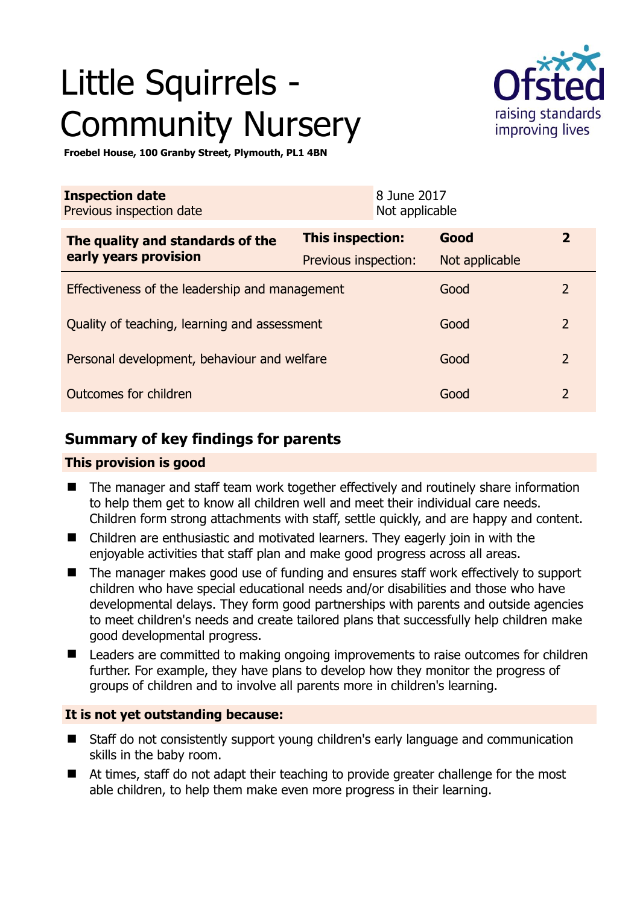# Little Squirrels - Community Nursery



**Froebel House, 100 Granby Street, Plymouth, PL1 4BN** 

| <b>Inspection date</b><br>Previous inspection date        |                      | 8 June 2017<br>Not applicable |                |                |
|-----------------------------------------------------------|----------------------|-------------------------------|----------------|----------------|
| The quality and standards of the<br>early years provision | This inspection:     |                               | Good           | $\overline{2}$ |
|                                                           | Previous inspection: |                               | Not applicable |                |
| Effectiveness of the leadership and management            |                      |                               | Good           | 2              |
| Quality of teaching, learning and assessment              |                      |                               | Good           | $\overline{2}$ |
| Personal development, behaviour and welfare               |                      |                               | Good           | $\overline{2}$ |
| Outcomes for children                                     |                      |                               | Good           | $\overline{2}$ |

## **Summary of key findings for parents**

#### **This provision is good**

- The manager and staff team work together effectively and routinely share information to help them get to know all children well and meet their individual care needs. Children form strong attachments with staff, settle quickly, and are happy and content.
- Children are enthusiastic and motivated learners. They eagerly join in with the enjoyable activities that staff plan and make good progress across all areas.
- The manager makes good use of funding and ensures staff work effectively to support children who have special educational needs and/or disabilities and those who have developmental delays. They form good partnerships with parents and outside agencies to meet children's needs and create tailored plans that successfully help children make good developmental progress.
- Leaders are committed to making ongoing improvements to raise outcomes for children further. For example, they have plans to develop how they monitor the progress of groups of children and to involve all parents more in children's learning.

#### **It is not yet outstanding because:**

- Staff do not consistently support young children's early language and communication skills in the baby room.
- At times, staff do not adapt their teaching to provide greater challenge for the most able children, to help them make even more progress in their learning.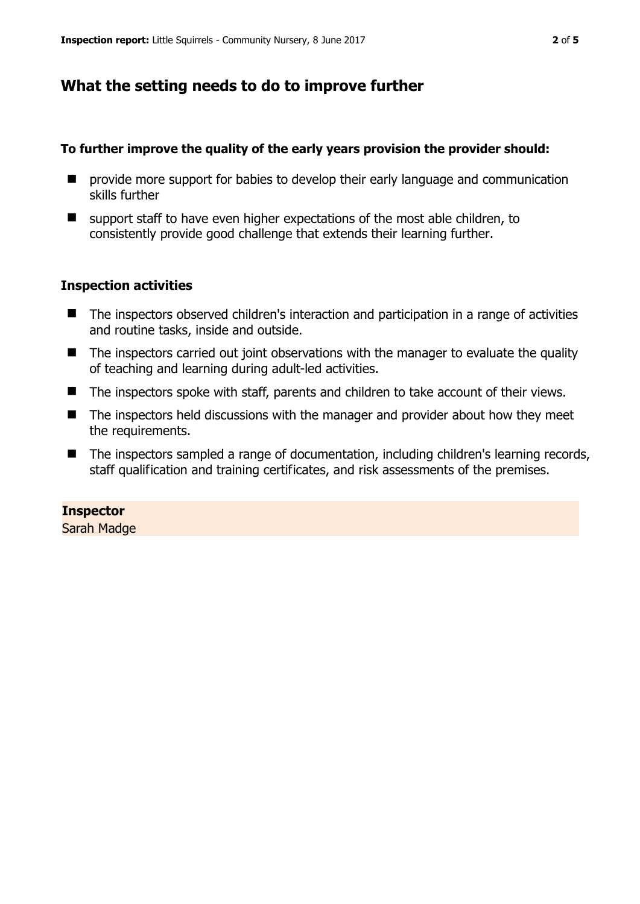## **What the setting needs to do to improve further**

#### **To further improve the quality of the early years provision the provider should:**

- **P** provide more support for babies to develop their early language and communication skills further
- $\blacksquare$  support staff to have even higher expectations of the most able children, to consistently provide good challenge that extends their learning further.

#### **Inspection activities**

- The inspectors observed children's interaction and participation in a range of activities and routine tasks, inside and outside.
- The inspectors carried out joint observations with the manager to evaluate the quality of teaching and learning during adult-led activities.
- The inspectors spoke with staff, parents and children to take account of their views.
- The inspectors held discussions with the manager and provider about how they meet the requirements.
- The inspectors sampled a range of documentation, including children's learning records, staff qualification and training certificates, and risk assessments of the premises.

#### **Inspector**

Sarah Madge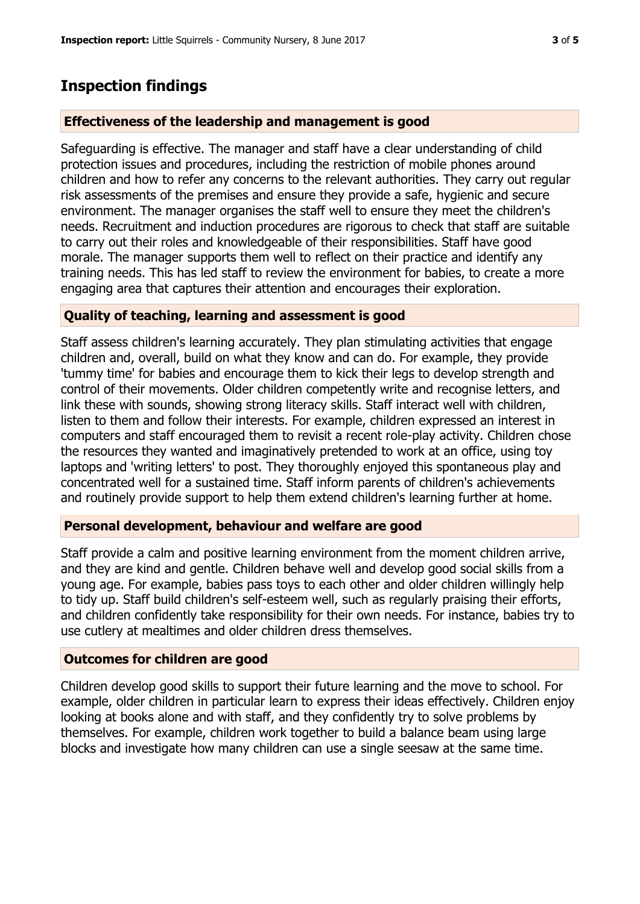## **Inspection findings**

#### **Effectiveness of the leadership and management is good**

Safeguarding is effective. The manager and staff have a clear understanding of child protection issues and procedures, including the restriction of mobile phones around children and how to refer any concerns to the relevant authorities. They carry out regular risk assessments of the premises and ensure they provide a safe, hygienic and secure environment. The manager organises the staff well to ensure they meet the children's needs. Recruitment and induction procedures are rigorous to check that staff are suitable to carry out their roles and knowledgeable of their responsibilities. Staff have good morale. The manager supports them well to reflect on their practice and identify any training needs. This has led staff to review the environment for babies, to create a more engaging area that captures their attention and encourages their exploration.

#### **Quality of teaching, learning and assessment is good**

Staff assess children's learning accurately. They plan stimulating activities that engage children and, overall, build on what they know and can do. For example, they provide 'tummy time' for babies and encourage them to kick their legs to develop strength and control of their movements. Older children competently write and recognise letters, and link these with sounds, showing strong literacy skills. Staff interact well with children, listen to them and follow their interests. For example, children expressed an interest in computers and staff encouraged them to revisit a recent role-play activity. Children chose the resources they wanted and imaginatively pretended to work at an office, using toy laptops and 'writing letters' to post. They thoroughly enjoyed this spontaneous play and concentrated well for a sustained time. Staff inform parents of children's achievements and routinely provide support to help them extend children's learning further at home.

#### **Personal development, behaviour and welfare are good**

Staff provide a calm and positive learning environment from the moment children arrive, and they are kind and gentle. Children behave well and develop good social skills from a young age. For example, babies pass toys to each other and older children willingly help to tidy up. Staff build children's self-esteem well, such as regularly praising their efforts, and children confidently take responsibility for their own needs. For instance, babies try to use cutlery at mealtimes and older children dress themselves.

#### **Outcomes for children are good**

Children develop good skills to support their future learning and the move to school. For example, older children in particular learn to express their ideas effectively. Children enjoy looking at books alone and with staff, and they confidently try to solve problems by themselves. For example, children work together to build a balance beam using large blocks and investigate how many children can use a single seesaw at the same time.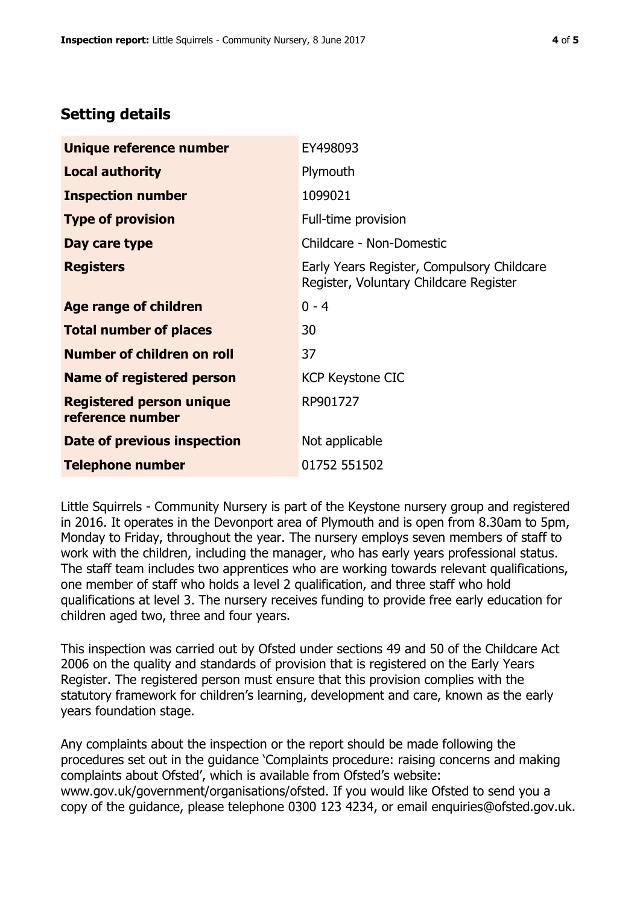# **Setting details**

| Unique reference number                             | EY498093                                                                             |  |
|-----------------------------------------------------|--------------------------------------------------------------------------------------|--|
| <b>Local authority</b>                              | Plymouth                                                                             |  |
| <b>Inspection number</b>                            | 1099021                                                                              |  |
| <b>Type of provision</b>                            | Full-time provision                                                                  |  |
| Day care type                                       | Childcare - Non-Domestic                                                             |  |
| <b>Registers</b>                                    | Early Years Register, Compulsory Childcare<br>Register, Voluntary Childcare Register |  |
| Age range of children                               | $0 - 4$                                                                              |  |
| <b>Total number of places</b>                       | 30                                                                                   |  |
| Number of children on roll                          | 37                                                                                   |  |
| Name of registered person                           | <b>KCP Keystone CIC</b>                                                              |  |
| <b>Registered person unique</b><br>reference number | RP901727                                                                             |  |
| Date of previous inspection                         | Not applicable                                                                       |  |
| <b>Telephone number</b>                             | 01752 551502                                                                         |  |

Little Squirrels - Community Nursery is part of the Keystone nursery group and registered in 2016. It operates in the Devonport area of Plymouth and is open from 8.30am to 5pm, Monday to Friday, throughout the year. The nursery employs seven members of staff to work with the children, including the manager, who has early years professional status. The staff team includes two apprentices who are working towards relevant qualifications, one member of staff who holds a level 2 qualification, and three staff who hold qualifications at level 3. The nursery receives funding to provide free early education for children aged two, three and four years.

This inspection was carried out by Ofsted under sections 49 and 50 of the Childcare Act 2006 on the quality and standards of provision that is registered on the Early Years Register. The registered person must ensure that this provision complies with the statutory framework for children's learning, development and care, known as the early years foundation stage.

Any complaints about the inspection or the report should be made following the procedures set out in the guidance 'Complaints procedure: raising concerns and making complaints about Ofsted', which is available from Ofsted's website: www.gov.uk/government/organisations/ofsted. If you would like Ofsted to send you a copy of the guidance, please telephone 0300 123 4234, or email enquiries@ofsted.gov.uk.